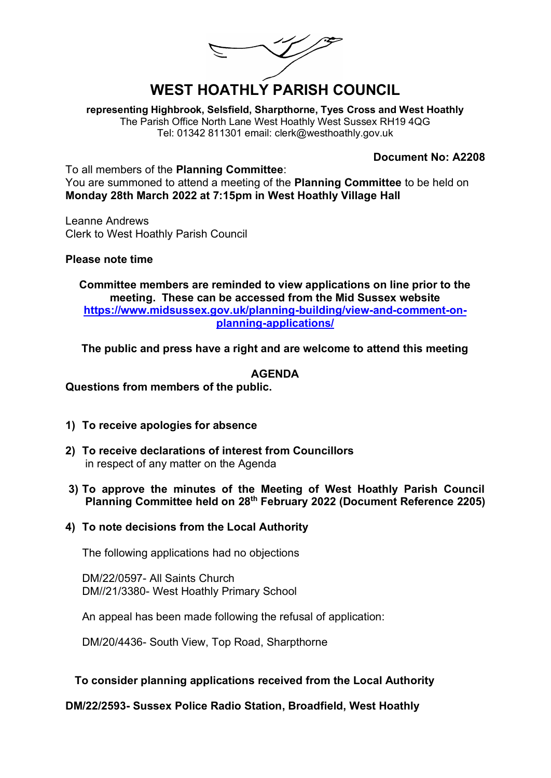L/<sup>3</sup>

# **WEST HOATHLY PARISH COUNCIL**

**representing Highbrook, Selsfield, Sharpthorne, Tyes Cross and West Hoathly** The Parish Office North Lane West Hoathly West Sussex RH19 4QG Tel: 01342 811301 email: clerk@westhoathly.gov.uk

#### **Document No: A2208**

To all members of the **Planning Committee**: You are summoned to attend a meeting of the **Planning Committee** to be held on **Monday 28th March 2022 at 7:15pm in West Hoathly Village Hall** 

Leanne Andrews Clerk to West Hoathly Parish Council

#### **Please note time**

**Committee members are reminded to view applications on line prior to the meeting. These can be accessed from the Mid Sussex website [https://www.midsussex.gov.uk/planning-building/view-and-comment-on](https://www.midsussex.gov.uk/planning-building/view-and-comment-on-planning-applications/)[planning-applications/](https://www.midsussex.gov.uk/planning-building/view-and-comment-on-planning-applications/)**

**The public and press have a right and are welcome to attend this meeting** 

#### **AGENDA**

**Questions from members of the public.** 

- **1) To receive apologies for absence**
- **2) To receive declarations of interest from Councillors**  in respect of any matter on the Agenda
- **3) To approve the minutes of the Meeting of West Hoathly Parish Council Planning Committee held on 28th February 2022 (Document Reference 2205)**
- **4) To note decisions from the Local Authority**

The following applications had no objections

DM/22/0597- All Saints Church DM//21/3380- West Hoathly Primary School

An appeal has been made following the refusal of application:

DM/20/4436- South View, Top Road, Sharpthorne

#### **To consider planning applications received from the Local Authority**

**DM/22/2593- Sussex Police Radio Station, Broadfield, West Hoathly**